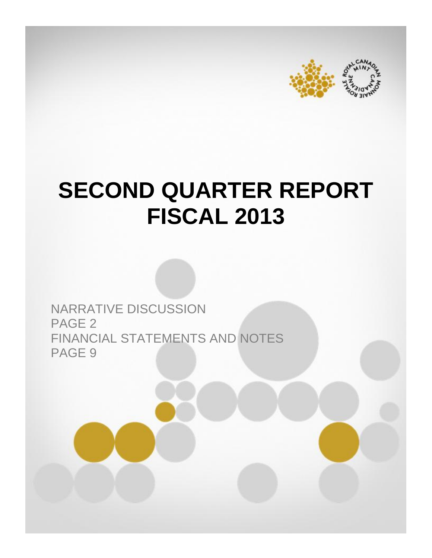



# **SECOND QUARTER REPORT FISCAL 2013**

NARRATIVE DISCUSSION PAGE 2 FINANCIAL STATEMENTS AND NOTES PAGE 9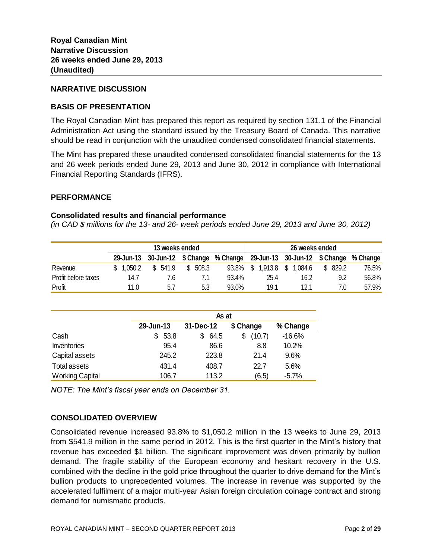#### **NARRATIVE DISCUSSION**

# **BASIS OF PRESENTATION**

The Royal Canadian Mint has prepared this report as required by section 131.1 of the Financial Administration Act using the standard issued by the Treasury Board of Canada. This narrative should be read in conjunction with the unaudited condensed consolidated financial statements.

The Mint has prepared these unaudited condensed consolidated financial statements for the 13 and 26 week periods ended June 29, 2013 and June 30, 2012 in compliance with International Financial Reporting Standards (IFRS).

#### **PERFORMANCE**

#### **Consolidated results and financial performance**

*(in CAD \$ millions for the 13- and 26- week periods ended June 29, 2013 and June 30, 2012)*

| 13 weeks ended      |         |                                        |              |       |                     | 26 weeks ended                |          |          |
|---------------------|---------|----------------------------------------|--------------|-------|---------------------|-------------------------------|----------|----------|
|                     |         | 29-Jun-13 30-Jun-12 \$ Change % Change |              |       |                     | 29-Jun-13 30-Jun-12 \$ Change |          | % Change |
| Revenue             | 1.050.2 | 541.9<br>S.                            | 508.3<br>\$. | 93.8% | \$.<br>$1,913.8$ \$ | 1,084.6                       | \$ 829.2 | 76.5%    |
| Profit before taxes | 14.7    | 7.6                                    |              | 93.4% | 25.4                | 16.2                          | 9.2      | 56.8%    |
| Profit              | 11.0    | 5.1                                    | 5.3          | 93.0% | 19.1                | 12.1                          | 7.0      | 57.9%    |

|                        |           | As at     |             |          |  |  |  |  |  |
|------------------------|-----------|-----------|-------------|----------|--|--|--|--|--|
|                        | 29-Jun-13 | 31-Dec-12 | \$ Change   | % Change |  |  |  |  |  |
| Cash                   | 53.8<br>S | 64.5<br>S | (10.7)<br>S | $-16.6%$ |  |  |  |  |  |
| <b>Inventories</b>     | 95.4      | 86.6      | 8.8         | 10.2%    |  |  |  |  |  |
| Capital assets         | 245.2     | 223.8     | 21.4        | 9.6%     |  |  |  |  |  |
| Total assets           | 431.4     | 408.7     | 22.7        | 5.6%     |  |  |  |  |  |
| <b>Working Capital</b> | 106.7     | 113.2     | (6.5)       | $-5.7%$  |  |  |  |  |  |

*NOTE: The Mint's fiscal year ends on December 31.* 

# **CONSOLIDATED OVERVIEW**

Consolidated revenue increased 93.8% to \$1,050.2 million in the 13 weeks to June 29, 2013 from \$541.9 million in the same period in 2012. This is the first quarter in the Mint's history that revenue has exceeded \$1 billion. The significant improvement was driven primarily by bullion demand. The fragile stability of the European economy and hesitant recovery in the U.S. combined with the decline in the gold price throughout the quarter to drive demand for the Mint's bullion products to unprecedented volumes. The increase in revenue was supported by the accelerated fulfilment of a major multi-year Asian foreign circulation coinage contract and strong demand for numismatic products.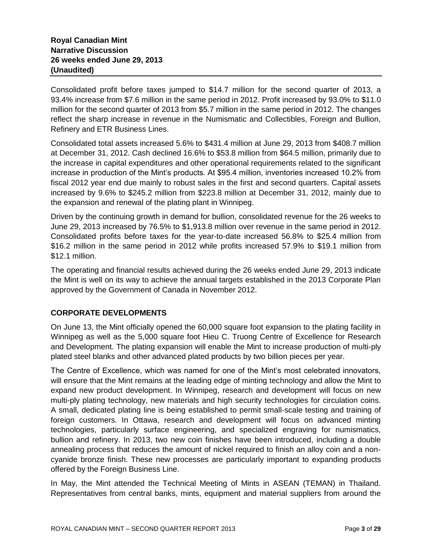Consolidated profit before taxes jumped to \$14.7 million for the second quarter of 2013, a 93.4% increase from \$7.6 million in the same period in 2012. Profit increased by 93.0% to \$11.0 million for the second quarter of 2013 from \$5.7 million in the same period in 2012. The changes reflect the sharp increase in revenue in the Numismatic and Collectibles, Foreign and Bullion, Refinery and ETR Business Lines.

Consolidated total assets increased 5.6% to \$431.4 million at June 29, 2013 from \$408.7 million at December 31, 2012. Cash declined 16.6% to \$53.8 million from \$64.5 million, primarily due to the increase in capital expenditures and other operational requirements related to the significant increase in production of the Mint's products. At \$95.4 million, inventories increased 10.2% from fiscal 2012 year end due mainly to robust sales in the first and second quarters. Capital assets increased by 9.6% to \$245.2 million from \$223.8 million at December 31, 2012, mainly due to the expansion and renewal of the plating plant in Winnipeg.

Driven by the continuing growth in demand for bullion, consolidated revenue for the 26 weeks to June 29, 2013 increased by 76.5% to \$1,913.8 million over revenue in the same period in 2012. Consolidated profits before taxes for the year-to-date increased 56.8% to \$25.4 million from \$16.2 million in the same period in 2012 while profits increased 57.9% to \$19.1 million from \$12.1 million.

The operating and financial results achieved during the 26 weeks ended June 29, 2013 indicate the Mint is well on its way to achieve the annual targets established in the 2013 Corporate Plan approved by the Government of Canada in November 2012.

# **CORPORATE DEVELOPMENTS**

On June 13, the Mint officially opened the 60,000 square foot expansion to the plating facility in Winnipeg as well as the 5,000 square foot Hieu C. Truong Centre of Excellence for Research and Development. The plating expansion will enable the Mint to increase production of multi-ply plated steel blanks and other advanced plated products by two billion pieces per year.

The Centre of Excellence, which was named for one of the Mint's most celebrated innovators, will ensure that the Mint remains at the leading edge of minting technology and allow the Mint to expand new product development. In Winnipeg, research and development will focus on new multi-ply plating technology, new materials and high security technologies for circulation coins. A small, dedicated plating line is being established to permit small-scale testing and training of foreign customers. In Ottawa, research and development will focus on advanced minting technologies, particularly surface engineering, and specialized engraving for numismatics, bullion and refinery. In 2013, two new coin finishes have been introduced, including a double annealing process that reduces the amount of nickel required to finish an alloy coin and a noncyanide bronze finish. These new processes are particularly important to expanding products offered by the Foreign Business Line.

In May, the Mint attended the Technical Meeting of Mints in ASEAN (TEMAN) in Thailand. Representatives from central banks, mints, equipment and material suppliers from around the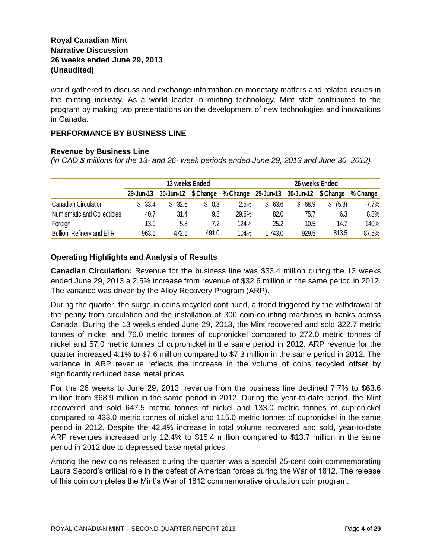world gathered to discuss and exchange information on monetary matters and related issues in the minting industry. As a world leader in minting technology, Mint staff contributed to the program by making two presentations on the development of new technologies and innovations in Canada.

#### **PERFORMANCE BY BUSINESS LINE**

#### **Revenue by Business Line**

*(in CAD \$ millions for the 13- and 26- week periods ended June 29, 2013 and June 30, 2012)*

|                             | 13 weeks Ended |                     |        |          |                                   | 26 weeks Ended |       |          |
|-----------------------------|----------------|---------------------|--------|----------|-----------------------------------|----------------|-------|----------|
|                             | 29-Jun-13      | 30-Jun-12 \$ Change |        | % Change | $29$ -Jun-13 30-Jun-12 $$ Change$ |                |       | % Change |
| <b>Canadian Circulation</b> | \$ 33.4        | \$32.6              | \$ 0.8 | 2.5%     | \$63.6                            | 68.9<br>S.     | (5.3) | $-7.7\%$ |
| Numismatic and Collectibles | 40.7           | 31.4                | 9.3    | 29.6%    | 82.0                              | 75.7           | 6.3   | 8.3%     |
| Foreign                     | 13.0           | 5.8                 | 7.2    | 124%     | 25.2                              | 10.5           | 14.7  | 140%     |
| Bullion, Refinery and ETR   | 963.1          | 472.1               | 491.0  | 104%     | 1,743.0                           | 929.5          | 813.5 | 87.5%    |

# **Operating Highlights and Analysis of Results**

**Canadian Circulation:** Revenue for the business line was \$33.4 million during the 13 weeks ended June 29, 2013 a 2.5% increase from revenue of \$32.6 million in the same period in 2012. The variance was driven by the Alloy Recovery Program (ARP).

During the quarter, the surge in coins recycled continued, a trend triggered by the withdrawal of the penny from circulation and the installation of 300 coin-counting machines in banks across Canada. During the 13 weeks ended June 29, 2013, the Mint recovered and sold 322.7 metric tonnes of nickel and 76.0 metric tonnes of cupronickel compared to 272.0 metric tonnes of nickel and 57.0 metric tonnes of cupronickel in the same period in 2012. ARP revenue for the quarter increased 4.1% to \$7.6 million compared to \$7.3 million in the same period in 2012. The variance in ARP revenue reflects the increase in the volume of coins recycled offset by significantly reduced base metal prices.

For the 26 weeks to June 29, 2013, revenue from the business line declined 7.7% to \$63.6 million from \$68.9 million in the same period in 2012. During the year-to-date period, the Mint recovered and sold 647.5 metric tonnes of nickel and 133.0 metric tonnes of cupronickel compared to 433.0 metric tonnes of nickel and 115.0 metric tonnes of cupronickel in the same period in 2012. Despite the 42.4% increase in total volume recovered and sold, year-to-date ARP revenues increased only 12.4% to \$15.4 million compared to \$13.7 million in the same period in 2012 due to depressed base metal prices.

Among the new coins released during the quarter was a special 25-cent coin commemorating Laura Secord's critical role in the defeat of American forces during the War of 1812. The release of this coin completes the Mint's War of 1812 commemorative circulation coin program.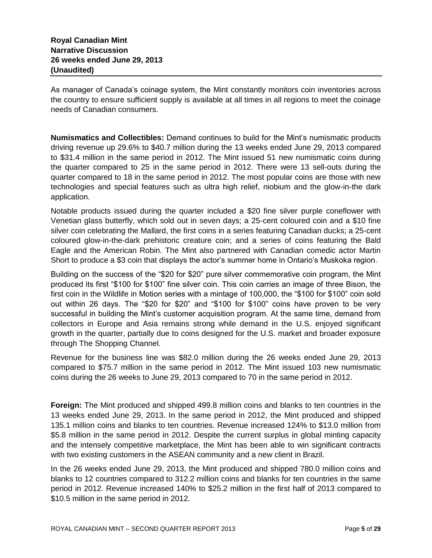As manager of Canada's coinage system, the Mint constantly monitors coin inventories across the country to ensure sufficient supply is available at all times in all regions to meet the coinage needs of Canadian consumers.

**Numismatics and Collectibles:** Demand continues to build for the Mint's numismatic products driving revenue up 29.6% to \$40.7 million during the 13 weeks ended June 29, 2013 compared to \$31.4 million in the same period in 2012. The Mint issued 51 new numismatic coins during the quarter compared to 25 in the same period in 2012. There were 13 sell-outs during the quarter compared to 18 in the same period in 2012. The most popular coins are those with new technologies and special features such as ultra high relief, niobium and the glow-in-the dark application.

Notable products issued during the quarter included a \$20 fine silver purple coneflower with Venetian glass butterfly, which sold out in seven days; a 25-cent coloured coin and a \$10 fine silver coin celebrating the Mallard, the first coins in a series featuring Canadian ducks; a 25-cent coloured glow-in-the-dark prehistoric creature coin; and a series of coins featuring the Bald Eagle and the American Robin. The Mint also partnered with Canadian comedic actor Martin Short to produce a \$3 coin that displays the actor's summer home in Ontario's Muskoka region.

Building on the success of the "\$20 for \$20" pure silver commemorative coin program, the Mint produced its first "\$100 for \$100" fine silver coin. This coin carries an image of three Bison, the first coin in the Wildlife in Motion series with a mintage of 100,000, the "\$100 for \$100" coin sold out within 26 days. The "\$20 for \$20" and "\$100 for \$100" coins have proven to be very successful in building the Mint's customer acquisition program. At the same time, demand from collectors in Europe and Asia remains strong while demand in the U.S. enjoyed significant growth in the quarter, partially due to coins designed for the U.S. market and broader exposure through The Shopping Channel.

Revenue for the business line was \$82.0 million during the 26 weeks ended June 29, 2013 compared to \$75.7 million in the same period in 2012. The Mint issued 103 new numismatic coins during the 26 weeks to June 29, 2013 compared to 70 in the same period in 2012.

**Foreign:** The Mint produced and shipped 499.8 million coins and blanks to ten countries in the 13 weeks ended June 29, 2013. In the same period in 2012, the Mint produced and shipped 135.1 million coins and blanks to ten countries. Revenue increased 124% to \$13.0 million from \$5.8 million in the same period in 2012. Despite the current surplus in global minting capacity and the intensely competitive marketplace, the Mint has been able to win significant contracts with two existing customers in the ASEAN community and a new client in Brazil.

In the 26 weeks ended June 29, 2013, the Mint produced and shipped 780.0 million coins and blanks to 12 countries compared to 312.2 million coins and blanks for ten countries in the same period in 2012. Revenue increased 140% to \$25.2 million in the first half of 2013 compared to \$10.5 million in the same period in 2012.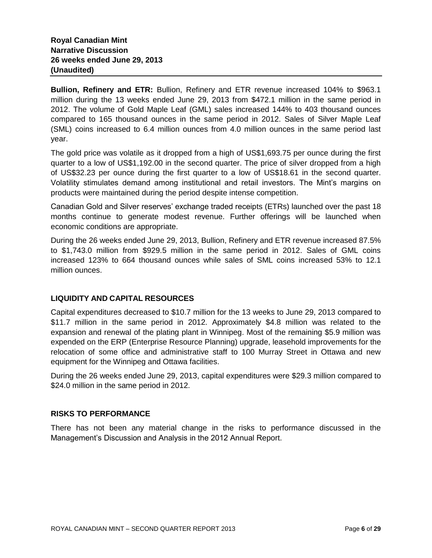**Bullion, Refinery and ETR:** Bullion, Refinery and ETR revenue increased 104% to \$963.1 million during the 13 weeks ended June 29, 2013 from \$472.1 million in the same period in 2012. The volume of Gold Maple Leaf (GML) sales increased 144% to 403 thousand ounces compared to 165 thousand ounces in the same period in 2012. Sales of Silver Maple Leaf (SML) coins increased to 6.4 million ounces from 4.0 million ounces in the same period last year.

The gold price was volatile as it dropped from a high of US\$1,693.75 per ounce during the first quarter to a low of US\$1,192.00 in the second quarter. The price of silver dropped from a high of US\$32.23 per ounce during the first quarter to a low of US\$18.61 in the second quarter. Volatility stimulates demand among institutional and retail investors. The Mint's margins on products were maintained during the period despite intense competition.

Canadian Gold and Silver reserves' exchange traded receipts (ETRs) launched over the past 18 months continue to generate modest revenue. Further offerings will be launched when economic conditions are appropriate.

During the 26 weeks ended June 29, 2013, Bullion, Refinery and ETR revenue increased 87.5% to \$1,743.0 million from \$929.5 million in the same period in 2012. Sales of GML coins increased 123% to 664 thousand ounces while sales of SML coins increased 53% to 12.1 million ounces.

# **LIQUIDITY AND CAPITAL RESOURCES**

Capital expenditures decreased to \$10.7 million for the 13 weeks to June 29, 2013 compared to \$11.7 million in the same period in 2012. Approximately \$4.8 million was related to the expansion and renewal of the plating plant in Winnipeg. Most of the remaining \$5.9 million was expended on the ERP (Enterprise Resource Planning) upgrade, leasehold improvements for the relocation of some office and administrative staff to 100 Murray Street in Ottawa and new equipment for the Winnipeg and Ottawa facilities.

During the 26 weeks ended June 29, 2013, capital expenditures were \$29.3 million compared to \$24.0 million in the same period in 2012.

# **RISKS TO PERFORMANCE**

There has not been any material change in the risks to performance discussed in the Management's Discussion and Analysis in the 2012 Annual Report.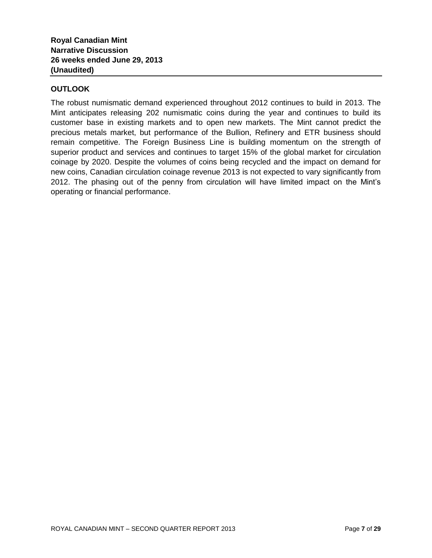# **OUTLOOK**

The robust numismatic demand experienced throughout 2012 continues to build in 2013. The Mint anticipates releasing 202 numismatic coins during the year and continues to build its customer base in existing markets and to open new markets. The Mint cannot predict the precious metals market, but performance of the Bullion, Refinery and ETR business should remain competitive. The Foreign Business Line is building momentum on the strength of superior product and services and continues to target 15% of the global market for circulation coinage by 2020. Despite the volumes of coins being recycled and the impact on demand for new coins, Canadian circulation coinage revenue 2013 is not expected to vary significantly from 2012. The phasing out of the penny from circulation will have limited impact on the Mint's operating or financial performance.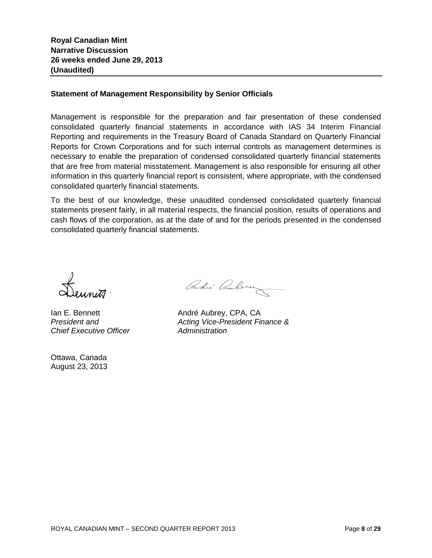#### **Statement of Management Responsibility by Senior Officials**

Management is responsible for the preparation and fair presentation of these condensed consolidated quarterly financial statements in accordance with IAS 34 Interim Financial Reporting and requirements in the Treasury Board of Canada Standard on Quarterly Financial Reports for Crown Corporations and for such internal controls as management determines is necessary to enable the preparation of condensed consolidated quarterly financial statements that are free from material misstatement. Management is also responsible for ensuring all other information in this quarterly financial report is consistent, where appropriate, with the condensed consolidated quarterly financial statements.

To the best of our knowledge, these unaudited condensed consolidated quarterly financial statements present fairly, in all material respects, the financial position, results of operations and cash flows of the corporation, as at the date of and for the periods presented in the condensed consolidated quarterly financial statements.

*Chief Executive Officer Administration*

Ottawa, Canada August 23, 2013

André Cubrez

Ian E. Bennett **André Aubrey**, CPA, CA *President and Acting Vice-President Finance &*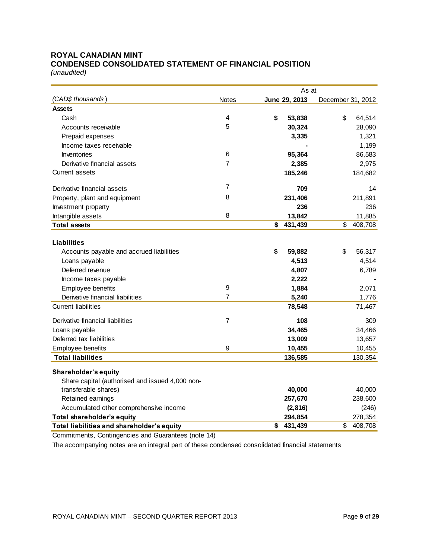#### **ROYAL CANADIAN MINT CONDENSED CONSOLIDATED STATEMENT OF FINANCIAL POSITION**

*(unaudited)*

|                                                                          |                | As at                    |                          |  |  |  |  |
|--------------------------------------------------------------------------|----------------|--------------------------|--------------------------|--|--|--|--|
| (CAD\$ thousands)                                                        | <b>Notes</b>   | June 29, 2013            | December 31, 2012        |  |  |  |  |
| <b>Assets</b>                                                            |                |                          |                          |  |  |  |  |
| Cash                                                                     | 4              | \$<br>53,838             | \$<br>64,514             |  |  |  |  |
| Accounts receivable                                                      | 5              | 30,324                   | 28,090                   |  |  |  |  |
| Prepaid expenses                                                         |                | 3,335                    | 1,321                    |  |  |  |  |
| Income taxes receivable                                                  |                |                          | 1,199                    |  |  |  |  |
| Inventories                                                              | 6              | 95,364                   | 86,583                   |  |  |  |  |
| Derivative financial assets                                              | $\overline{7}$ | 2,385                    | 2,975                    |  |  |  |  |
| <b>Current assets</b>                                                    |                | 185,246                  | 184,682                  |  |  |  |  |
| Derivative financial assets                                              | $\overline{7}$ | 709                      | 14                       |  |  |  |  |
|                                                                          | 8              | 231,406                  | 211,891                  |  |  |  |  |
| Property, plant and equipment                                            |                | 236                      |                          |  |  |  |  |
| Investment property                                                      | 8              |                          | 236                      |  |  |  |  |
| Intangible assets                                                        |                | 13,842<br>\$<br>431,439  | 11,885<br>\$<br>408,708  |  |  |  |  |
| <b>Total assets</b>                                                      |                |                          |                          |  |  |  |  |
| <b>Liabilities</b>                                                       |                |                          |                          |  |  |  |  |
| Accounts payable and accrued liabilities                                 |                | \$<br>59,882             | \$<br>56,317             |  |  |  |  |
| Loans payable                                                            |                | 4,513                    | 4,514                    |  |  |  |  |
| Deferred revenue                                                         |                | 4,807                    | 6,789                    |  |  |  |  |
| Income taxes payable                                                     |                | 2,222                    |                          |  |  |  |  |
| Employee benefits                                                        | $\mathsf g$    | 1,884                    | 2,071                    |  |  |  |  |
| Derivative financial liabilities                                         | 7              | 5,240                    | 1,776                    |  |  |  |  |
| <b>Current liabilities</b>                                               |                | 78,548                   | 71,467                   |  |  |  |  |
| Derivative financial liabilities                                         | $\overline{7}$ | 108                      | 309                      |  |  |  |  |
| Loans payable                                                            |                | 34,465                   | 34,466                   |  |  |  |  |
| Deferred tax liabilities                                                 |                | 13,009                   | 13,657                   |  |  |  |  |
| Employee benefits                                                        | 9              | 10,455                   | 10,455                   |  |  |  |  |
| <b>Total liabilities</b>                                                 |                | 136,585                  | 130,354                  |  |  |  |  |
|                                                                          |                |                          |                          |  |  |  |  |
| Shareholder's equity                                                     |                |                          |                          |  |  |  |  |
| Share capital (authorised and issued 4,000 non-                          |                |                          |                          |  |  |  |  |
| transferable shares)                                                     |                | 40,000                   | 40,000                   |  |  |  |  |
| Retained earnings                                                        |                | 257,670                  | 238,600                  |  |  |  |  |
| Accumulated other comprehensive income                                   |                | (2,816)                  | (246)                    |  |  |  |  |
| Total shareholder's equity<br>Total liabilities and shareholder's equity |                | 294,854<br>431,439<br>\$ | 278,354<br>\$<br>408,708 |  |  |  |  |
|                                                                          |                |                          |                          |  |  |  |  |

Commitments, Contingencies and Guarantees (note 14)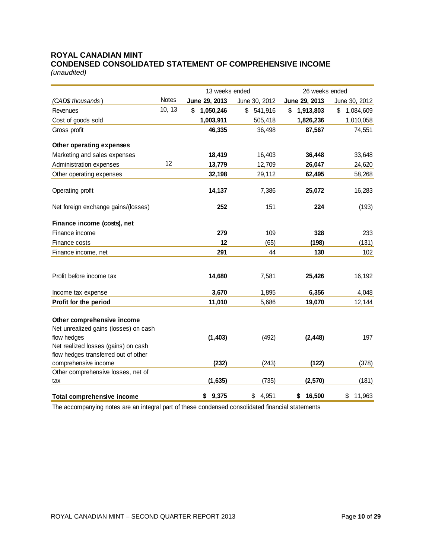# **ROYAL CANADIAN MINT CONDENSED CONSOLIDATED STATEMENT OF COMPREHENSIVE INCOME**

*(unaudited)*

|                                       |              | 13 weeks ended  |               | 26 weeks ended  |                 |
|---------------------------------------|--------------|-----------------|---------------|-----------------|-----------------|
| (CAD\$ thousands)                     | <b>Notes</b> | June 29, 2013   | June 30, 2012 | June 29, 2013   | June 30, 2012   |
| Revenues                              | 10, 13       | 1,050,246<br>\$ | \$<br>541,916 | 1,913,803<br>\$ | \$<br>1,084,609 |
| Cost of goods sold                    |              | 1,003,911       | 505,418       | 1,826,236       | 1,010,058       |
| Gross profit                          |              | 46,335          | 36,498        | 87,567          | 74,551          |
| Other operating expenses              |              |                 |               |                 |                 |
| Marketing and sales expenses          |              | 18,419          | 16,403        | 36,448          | 33,648          |
| Administration expenses               | 12           | 13,779          | 12,709        | 26,047          | 24,620          |
| Other operating expenses              |              | 32,198          | 29,112        | 62,495          | 58,268          |
| Operating profit                      |              | 14,137          | 7,386         | 25,072          | 16,283          |
| Net foreign exchange gains/(losses)   |              | 252             | 151           | 224             | (193)           |
| Finance income (costs), net           |              |                 |               |                 |                 |
| Finance income                        |              | 279             | 109           | 328             | 233             |
| Finance costs                         |              | 12              | (65)          | (198)           | (131)           |
| Finance income, net                   |              | 291             | 44            | 130             | 102             |
|                                       |              |                 |               |                 |                 |
| Profit before income tax              |              | 14,680          | 7,581         | 25,426          | 16,192          |
| Income tax expense                    |              | 3,670           | 1,895         | 6,356           | 4,048           |
| Profit for the period                 |              | 11,010          | 5,686         | 19,070          | 12,144          |
| Other comprehensive income            |              |                 |               |                 |                 |
| Net unrealized gains (losses) on cash |              |                 |               |                 |                 |
| flow hedges                           |              | (1, 403)        | (492)         | (2, 448)        | 197             |
| Net realized losses (gains) on cash   |              |                 |               |                 |                 |
| flow hedges transferred out of other  |              |                 |               |                 |                 |
| comprehensive income                  |              | (232)           | (243)         | (122)           | (378)           |
| Other comprehensive losses, net of    |              |                 |               |                 |                 |
| tax                                   |              | (1,635)         | (735)         | (2,570)         | (181)           |
| <b>Total comprehensive income</b>     |              | \$9,375         | \$<br>4,951   | 16,500<br>\$    | \$<br>11,963    |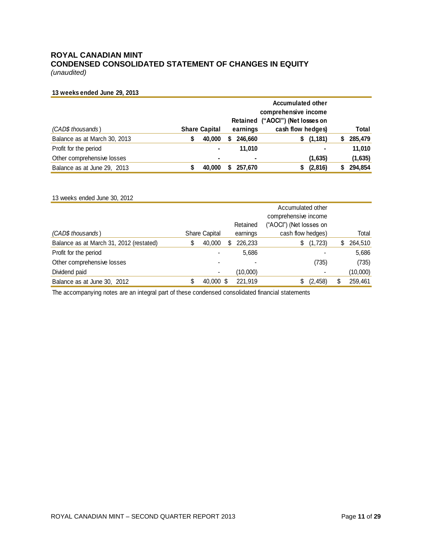# **ROYAL CANADIAN MINT CONDENSED CONSOLIDATED STATEMENT OF CHANGES IN EQUITY**

*(unaudited)*

#### **13 weeks ended June 29, 2013**

|                              |                      |   |                | <b>Accumulated other</b><br>comprehensive income |         |
|------------------------------|----------------------|---|----------------|--------------------------------------------------|---------|
|                              |                      |   |                | Retained ("AOCI") (Net losses on                 |         |
| (CAD\$ thousands)            | <b>Share Capital</b> |   | earnings       | cash flow hedges)                                | Total   |
| Balance as at March 30, 2013 | 40,000               | S | 246,660        | \$(1,181)                                        | 285,479 |
| Profit for the period        | ۰                    |   | 11.010         | ۰                                                | 11,010  |
| Other comprehensive losses   | ۰                    |   | $\blacksquare$ | (1,635)                                          | (1,635) |
| Balance as at June 29, 2013  | 40,000               |   | 257.670        | (2,816)<br>S.                                    | 294,854 |

| 13 weeks ended June 30, 2012            |   |                      |   |          |                                                                      |               |
|-----------------------------------------|---|----------------------|---|----------|----------------------------------------------------------------------|---------------|
|                                         |   |                      |   | Retained | Accumulated other<br>comprehensive income<br>("AOCI") (Net losses on |               |
| (CAD\$ thousands)                       |   | <b>Share Capital</b> |   | earnings | cash flow hedges)                                                    | Total         |
| Balance as at March 31, 2012 (restated) | S | 40,000               | S | 226.233  | \$<br>(1,723)                                                        | \$<br>264,510 |
| Profit for the period                   |   |                      |   | 5,686    |                                                                      | 5,686         |
| Other comprehensive losses              |   |                      |   |          | (735)                                                                | (735)         |
| Dividend paid                           |   |                      |   | (10,000) |                                                                      | (10,000)      |
| Balance as at June 30, 2012             |   | 40,000 \$            |   | 221.919  | (2, 458)<br>S                                                        | 259,461       |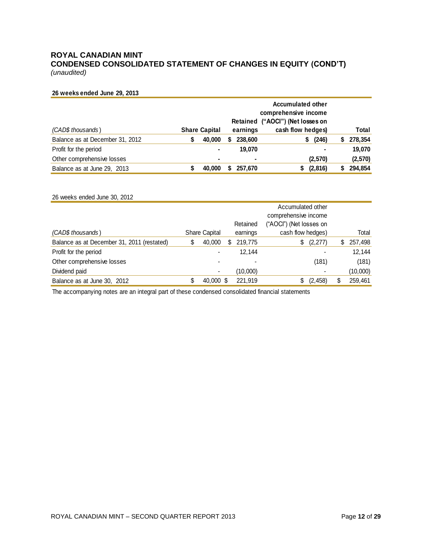# **ROYAL CANADIAN MINT CONDENSED CONSOLIDATED STATEMENT OF CHANGES IN EQUITY (COND'T)**

*(unaudited)*

#### **26 weeks ended June 29, 2013**

|                                 | <b>Accumulated other</b><br>comprehensive income<br>Retained ("AOCI") (Net losses on |                      |   |          |                   |   |         |
|---------------------------------|--------------------------------------------------------------------------------------|----------------------|---|----------|-------------------|---|---------|
| (CAD\$ thousands)               |                                                                                      | <b>Share Capital</b> |   | earnings | cash flow hedges) |   | Total   |
| Balance as at December 31, 2012 | S                                                                                    | 40,000               | S | 238,600  | (246)<br>S.       | S | 278,354 |
| Profit for the period           |                                                                                      | ۰                    |   | 19.070   | ۰                 |   | 19,070  |
| Other comprehensive losses      |                                                                                      | ۰                    |   | ۰        | (2,570)           |   | (2,570) |
| Balance as at June 29, 2013     |                                                                                      | 40,000               |   | 257.670  | (2,816)           |   | 294,854 |

| 26 weeks ended June 30, 2012               |   |                      |   |          |                                                                      |          |               |
|--------------------------------------------|---|----------------------|---|----------|----------------------------------------------------------------------|----------|---------------|
|                                            |   |                      |   | Retained | Accumulated other<br>comprehensive income<br>("AOCI") (Net losses on |          |               |
| (CAD\$ thousands)                          |   | <b>Share Capital</b> |   | earnings | cash flow hedges)                                                    |          | Total         |
| Balance as at December 31, 2011 (restated) | S | 40,000               | S | 219,775  | \$                                                                   | (2,277)  | \$<br>257,498 |
| Profit for the period                      |   |                      |   | 12,144   |                                                                      |          | 12,144        |
| Other comprehensive losses                 |   |                      |   |          |                                                                      | (181)    | (181)         |
| Dividend paid                              |   | $\blacksquare$       |   | (10,000) |                                                                      |          | (10,000)      |
| Balance as at June 30, 2012                |   | 40,000 \$            |   | 221.919  | \$                                                                   | (2, 458) | 259,461       |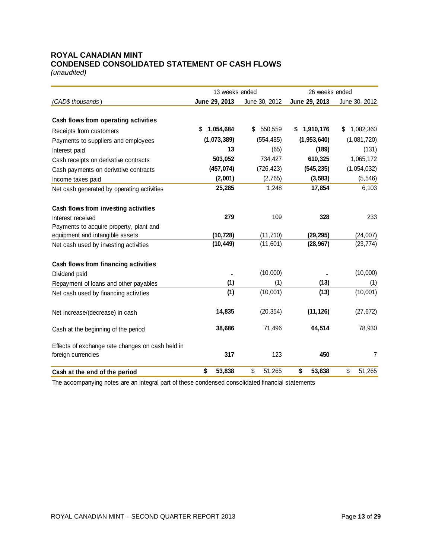# **ROYAL CANADIAN MINT CONDENSED CONSOLIDATED STATEMENT OF CASH FLOWS**

*(unaudited)*

|                                                  | 13 weeks ended  |               | 26 weeks ended  |                 |  |  |
|--------------------------------------------------|-----------------|---------------|-----------------|-----------------|--|--|
| (CAD\$ thousands)                                | June 29, 2013   | June 30, 2012 | June 29, 2013   | June 30, 2012   |  |  |
|                                                  |                 |               |                 |                 |  |  |
| Cash flows from operating activities             |                 |               |                 |                 |  |  |
| Receipts from customers                          | 1,054,684<br>\$ | 550,559<br>\$ | 1,910,176<br>\$ | \$<br>1,082,360 |  |  |
| Payments to suppliers and employees              | (1,073,389)     | (554, 485)    | (1,953,640)     | (1,081,720)     |  |  |
| Interest paid                                    | 13              | (65)          | (189)           | (131)           |  |  |
| Cash receipts on derivative contracts            | 503,052         | 734,427       | 610,325         | 1,065,172       |  |  |
| Cash payments on derivative contracts            | (457, 074)      | (726, 423)    | (545, 235)      | (1,054,032)     |  |  |
| Income taxes paid                                | (2,001)         | (2,765)       | (3, 583)        | (5, 546)        |  |  |
| Net cash generated by operating activities       | 25,285          | 1,248         | 17,854          | 6,103           |  |  |
| Cash flows from investing activities             |                 |               |                 |                 |  |  |
| Interest received                                | 279             | 109           | 328             | 233             |  |  |
| Payments to acquire property, plant and          |                 |               |                 |                 |  |  |
| equipment and intangible assets                  | (10, 728)       | (11, 710)     | (29, 295)       | (24,007)        |  |  |
| Net cash used by investing activities            | (10, 449)       | (11,601)      | (28, 967)       | (23, 774)       |  |  |
| Cash flows from financing activities             |                 |               |                 |                 |  |  |
| Dividend paid                                    |                 | (10,000)      |                 | (10,000)        |  |  |
| Repayment of loans and other payables            | (1)             | (1)           | (13)            | (1)             |  |  |
| Net cash used by financing activities            | (1)             | (10,001)      | (13)            | (10,001)        |  |  |
| Net increase/(decrease) in cash                  | 14,835          | (20, 354)     | (11, 126)       | (27, 672)       |  |  |
| Cash at the beginning of the period              | 38,686          | 71,496        | 64,514          | 78,930          |  |  |
| Effects of exchange rate changes on cash held in |                 |               |                 |                 |  |  |
| foreign currencies                               | 317             | 123           | 450             | 7               |  |  |
| Cash at the end of the period                    | 53,838<br>\$    | \$<br>51,265  | \$<br>53,838    | \$<br>51,265    |  |  |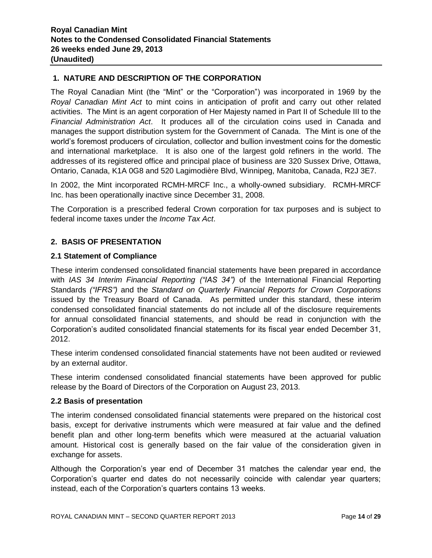# **1. NATURE AND DESCRIPTION OF THE CORPORATION**

The Royal Canadian Mint (the "Mint" or the "Corporation") was incorporated in 1969 by the *Royal Canadian Mint Act* to mint coins in anticipation of profit and carry out other related activities. The Mint is an agent corporation of Her Majesty named in Part II of Schedule III to the *Financial Administration Act*. It produces all of the circulation coins used in Canada and manages the support distribution system for the Government of Canada. The Mint is one of the world's foremost producers of circulation, collector and bullion investment coins for the domestic and international marketplace. It is also one of the largest gold refiners in the world. The addresses of its registered office and principal place of business are 320 Sussex Drive, Ottawa, Ontario, Canada, K1A 0G8 and 520 Lagimodière Blvd, Winnipeg, Manitoba, Canada, R2J 3E7.

In 2002, the Mint incorporated RCMH-MRCF Inc., a wholly-owned subsidiary. RCMH-MRCF Inc. has been operationally inactive since December 31, 2008.

The Corporation is a prescribed federal Crown corporation for tax purposes and is subject to federal income taxes under the *Income Tax Act*.

# **2. BASIS OF PRESENTATION**

#### **2.1 Statement of Compliance**

These interim condensed consolidated financial statements have been prepared in accordance with *IAS 34 Interim Financial Reporting ("IAS 34")* of the International Financial Reporting Standards *("IFRS")* and the *Standard on Quarterly Financial Reports for Crown Corporations* issued by the Treasury Board of Canada. As permitted under this standard, these interim condensed consolidated financial statements do not include all of the disclosure requirements for annual consolidated financial statements, and should be read in conjunction with the Corporation's audited consolidated financial statements for its fiscal year ended December 31, 2012.

These interim condensed consolidated financial statements have not been audited or reviewed by an external auditor.

These interim condensed consolidated financial statements have been approved for public release by the Board of Directors of the Corporation on August 23, 2013.

#### **2.2 Basis of presentation**

The interim condensed consolidated financial statements were prepared on the historical cost basis, except for derivative instruments which were measured at fair value and the defined benefit plan and other long-term benefits which were measured at the actuarial valuation amount. Historical cost is generally based on the fair value of the consideration given in exchange for assets.

Although the Corporation's year end of December 31 matches the calendar year end, the Corporation's quarter end dates do not necessarily coincide with calendar year quarters; instead, each of the Corporation's quarters contains 13 weeks.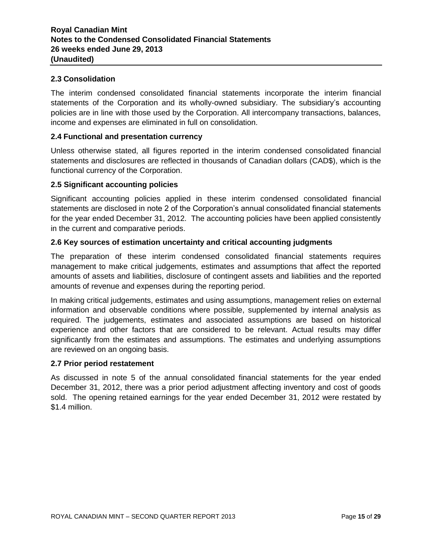#### **2.3 Consolidation**

The interim condensed consolidated financial statements incorporate the interim financial statements of the Corporation and its wholly-owned subsidiary. The subsidiary's accounting policies are in line with those used by the Corporation. All intercompany transactions, balances, income and expenses are eliminated in full on consolidation.

#### **2.4 Functional and presentation currency**

Unless otherwise stated, all figures reported in the interim condensed consolidated financial statements and disclosures are reflected in thousands of Canadian dollars (CAD\$), which is the functional currency of the Corporation.

#### **2.5 Significant accounting policies**

Significant accounting policies applied in these interim condensed consolidated financial statements are disclosed in note 2 of the Corporation's annual consolidated financial statements for the year ended December 31, 2012. The accounting policies have been applied consistently in the current and comparative periods.

#### **2.6 Key sources of estimation uncertainty and critical accounting judgments**

The preparation of these interim condensed consolidated financial statements requires management to make critical judgements, estimates and assumptions that affect the reported amounts of assets and liabilities, disclosure of contingent assets and liabilities and the reported amounts of revenue and expenses during the reporting period.

In making critical judgements, estimates and using assumptions, management relies on external information and observable conditions where possible, supplemented by internal analysis as required. The judgements, estimates and associated assumptions are based on historical experience and other factors that are considered to be relevant. Actual results may differ significantly from the estimates and assumptions. The estimates and underlying assumptions are reviewed on an ongoing basis.

#### **2.7 Prior period restatement**

As discussed in note 5 of the annual consolidated financial statements for the year ended December 31, 2012, there was a prior period adjustment affecting inventory and cost of goods sold. The opening retained earnings for the year ended December 31, 2012 were restated by \$1.4 million.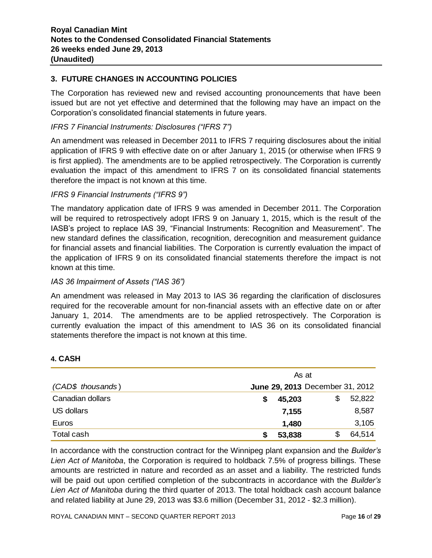# **3. FUTURE CHANGES IN ACCOUNTING POLICIES**

The Corporation has reviewed new and revised accounting pronouncements that have been issued but are not yet effective and determined that the following may have an impact on the Corporation's consolidated financial statements in future years.

# *IFRS 7 Financial Instruments: Disclosures ("IFRS 7")*

An amendment was released in December 2011 to IFRS 7 requiring disclosures about the initial application of IFRS 9 with effective date on or after January 1, 2015 (or otherwise when IFRS 9 is first applied). The amendments are to be applied retrospectively. The Corporation is currently evaluation the impact of this amendment to IFRS 7 on its consolidated financial statements therefore the impact is not known at this time.

# *IFRS 9 Financial Instruments ("IFRS 9")*

The mandatory application date of IFRS 9 was amended in December 2011. The Corporation will be required to retrospectively adopt IFRS 9 on January 1, 2015, which is the result of the IASB's project to replace IAS 39, "Financial Instruments: Recognition and Measurement". The new standard defines the classification, recognition, derecognition and measurement guidance for financial assets and financial liabilities. The Corporation is currently evaluation the impact of the application of IFRS 9 on its consolidated financial statements therefore the impact is not known at this time.

#### *IAS 36 Impairment of Assets ("IAS 36")*

An amendment was released in May 2013 to IAS 36 regarding the clarification of disclosures required for the recoverable amount for non-financial assets with an effective date on or after January 1, 2014. The amendments are to be applied retrospectively. The Corporation is currently evaluation the impact of this amendment to IAS 36 on its consolidated financial statements therefore the impact is not known at this time.

#### **4. CASH**

|                   | As at                           |
|-------------------|---------------------------------|
| (CAD\$ thousands) | June 29, 2013 December 31, 2012 |
| Canadian dollars  | 52,822<br>\$<br>45,203          |
| US dollars        | 8,587<br>7,155                  |
| Euros             | 3,105<br>1,480                  |
| Total cash        | 64,514<br>53,838                |

In accordance with the construction contract for the Winnipeg plant expansion and the *Builder's Lien Act of Manitoba*, the Corporation is required to holdback 7.5% of progress billings. These amounts are restricted in nature and recorded as an asset and a liability. The restricted funds will be paid out upon certified completion of the subcontracts in accordance with the *Builder's Lien Act of Manitoba* during the third quarter of 2013. The total holdback cash account balance and related liability at June 29, 2013 was \$3.6 million (December 31, 2012 - \$2.3 million).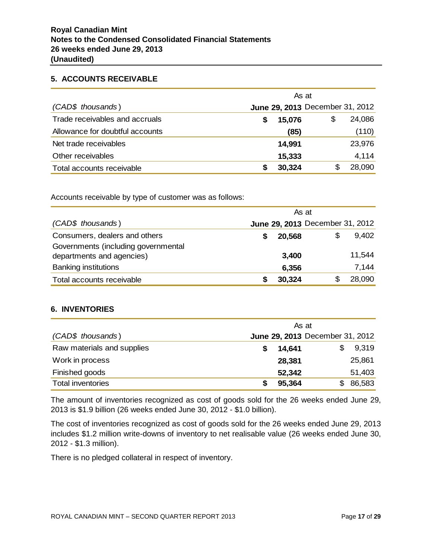#### **5. ACCOUNTS RECEIVABLE**

|                                 | As at  |                                 |        |
|---------------------------------|--------|---------------------------------|--------|
| (CAD\$ thousands)               |        | June 29, 2013 December 31, 2012 |        |
| Trade receivables and accruals  | 15,076 | S                               | 24,086 |
| Allowance for doubtful accounts | (85)   |                                 | (110)  |
| Net trade receivables           | 14,991 |                                 | 23,976 |
| Other receivables               | 15,333 |                                 | 4,114  |
| Total accounts receivable       | 30,324 | S                               | 28,090 |

Accounts receivable by type of customer was as follows:

|                                                                  |        | As at                           |        |
|------------------------------------------------------------------|--------|---------------------------------|--------|
| (CAD\$ thousands)                                                |        | June 29, 2013 December 31, 2012 |        |
| Consumers, dealers and others                                    | 20,568 | \$                              | 9,402  |
| Governments (including governmental<br>departments and agencies) | 3,400  |                                 | 11,544 |
| <b>Banking institutions</b>                                      | 6,356  |                                 | 7,144  |
| Total accounts receivable                                        | 30,324 |                                 | 28,090 |

#### **6. INVENTORIES**

| (CAD\$ thousands)          | As at  | June 29, 2013 December 31, 2012 |        |
|----------------------------|--------|---------------------------------|--------|
|                            |        |                                 |        |
| Raw materials and supplies | 14,641 |                                 | 9,319  |
| Work in process            | 28,381 |                                 | 25,861 |
| Finished goods             | 52,342 |                                 | 51,403 |
| <b>Total inventories</b>   | 95,364 |                                 | 86,583 |

The amount of inventories recognized as cost of goods sold for the 26 weeks ended June 29, 2013 is \$1.9 billion (26 weeks ended June 30, 2012 - \$1.0 billion).

The cost of inventories recognized as cost of goods sold for the 26 weeks ended June 29, 2013 includes \$1.2 million write-downs of inventory to net realisable value (26 weeks ended June 30, 2012 - \$1.3 million).

There is no pledged collateral in respect of inventory.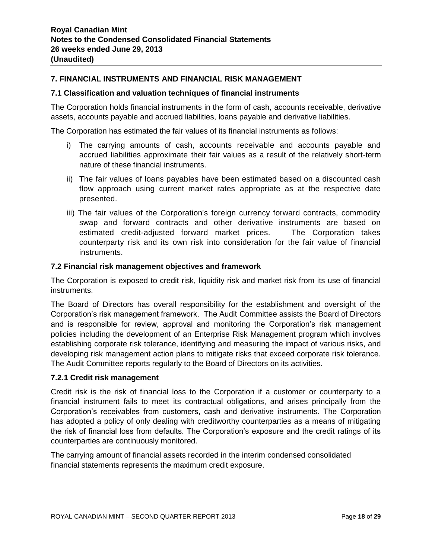# **7. FINANCIAL INSTRUMENTS AND FINANCIAL RISK MANAGEMENT**

#### **7.1 Classification and valuation techniques of financial instruments**

The Corporation holds financial instruments in the form of cash, accounts receivable, derivative assets, accounts payable and accrued liabilities, loans payable and derivative liabilities.

The Corporation has estimated the fair values of its financial instruments as follows:

- i) The carrying amounts of cash, accounts receivable and accounts payable and accrued liabilities approximate their fair values as a result of the relatively short-term nature of these financial instruments.
- ii) The fair values of loans payables have been estimated based on a discounted cash flow approach using current market rates appropriate as at the respective date presented.
- iii) The fair values of the Corporation's foreign currency forward contracts, commodity swap and forward contracts and other derivative instruments are based on estimated credit-adjusted forward market prices. The Corporation takes counterparty risk and its own risk into consideration for the fair value of financial instruments.

#### **7.2 Financial risk management objectives and framework**

The Corporation is exposed to credit risk, liquidity risk and market risk from its use of financial instruments.

The Board of Directors has overall responsibility for the establishment and oversight of the Corporation's risk management framework. The Audit Committee assists the Board of Directors and is responsible for review, approval and monitoring the Corporation's risk management policies including the development of an Enterprise Risk Management program which involves establishing corporate risk tolerance, identifying and measuring the impact of various risks, and developing risk management action plans to mitigate risks that exceed corporate risk tolerance. The Audit Committee reports regularly to the Board of Directors on its activities.

#### **7.2.1 Credit risk management**

Credit risk is the risk of financial loss to the Corporation if a customer or counterparty to a financial instrument fails to meet its contractual obligations, and arises principally from the Corporation's receivables from customers, cash and derivative instruments. The Corporation has adopted a policy of only dealing with creditworthy counterparties as a means of mitigating the risk of financial loss from defaults. The Corporation's exposure and the credit ratings of its counterparties are continuously monitored.

The carrying amount of financial assets recorded in the interim condensed consolidated financial statements represents the maximum credit exposure.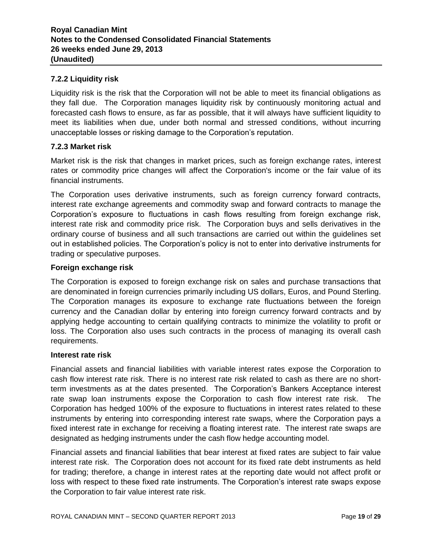# **7.2.2 Liquidity risk**

Liquidity risk is the risk that the Corporation will not be able to meet its financial obligations as they fall due. The Corporation manages liquidity risk by continuously monitoring actual and forecasted cash flows to ensure, as far as possible, that it will always have sufficient liquidity to meet its liabilities when due, under both normal and stressed conditions, without incurring unacceptable losses or risking damage to the Corporation's reputation.

#### **7.2.3 Market risk**

Market risk is the risk that changes in market prices, such as foreign exchange rates, interest rates or commodity price changes will affect the Corporation's income or the fair value of its financial instruments.

The Corporation uses derivative instruments, such as foreign currency forward contracts, interest rate exchange agreements and commodity swap and forward contracts to manage the Corporation's exposure to fluctuations in cash flows resulting from foreign exchange risk, interest rate risk and commodity price risk. The Corporation buys and sells derivatives in the ordinary course of business and all such transactions are carried out within the guidelines set out in established policies. The Corporation's policy is not to enter into derivative instruments for trading or speculative purposes.

#### **Foreign exchange risk**

The Corporation is exposed to foreign exchange risk on sales and purchase transactions that are denominated in foreign currencies primarily including US dollars, Euros, and Pound Sterling. The Corporation manages its exposure to exchange rate fluctuations between the foreign currency and the Canadian dollar by entering into foreign currency forward contracts and by applying hedge accounting to certain qualifying contracts to minimize the volatility to profit or loss. The Corporation also uses such contracts in the process of managing its overall cash requirements.

#### **Interest rate risk**

Financial assets and financial liabilities with variable interest rates expose the Corporation to cash flow interest rate risk. There is no interest rate risk related to cash as there are no shortterm investments as at the dates presented. The Corporation's Bankers Acceptance interest rate swap loan instruments expose the Corporation to cash flow interest rate risk. The Corporation has hedged 100% of the exposure to fluctuations in interest rates related to these instruments by entering into corresponding interest rate swaps, where the Corporation pays a fixed interest rate in exchange for receiving a floating interest rate. The interest rate swaps are designated as hedging instruments under the cash flow hedge accounting model.

Financial assets and financial liabilities that bear interest at fixed rates are subject to fair value interest rate risk. The Corporation does not account for its fixed rate debt instruments as held for trading; therefore, a change in interest rates at the reporting date would not affect profit or loss with respect to these fixed rate instruments. The Corporation's interest rate swaps expose the Corporation to fair value interest rate risk.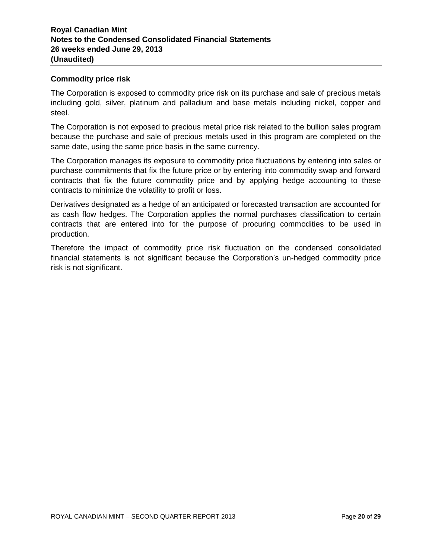#### **Commodity price risk**

The Corporation is exposed to commodity price risk on its purchase and sale of precious metals including gold, silver, platinum and palladium and base metals including nickel, copper and steel.

The Corporation is not exposed to precious metal price risk related to the bullion sales program because the purchase and sale of precious metals used in this program are completed on the same date, using the same price basis in the same currency.

The Corporation manages its exposure to commodity price fluctuations by entering into sales or purchase commitments that fix the future price or by entering into commodity swap and forward contracts that fix the future commodity price and by applying hedge accounting to these contracts to minimize the volatility to profit or loss.

Derivatives designated as a hedge of an anticipated or forecasted transaction are accounted for as cash flow hedges. The Corporation applies the normal purchases classification to certain contracts that are entered into for the purpose of procuring commodities to be used in production.

Therefore the impact of commodity price risk fluctuation on the condensed consolidated financial statements is not significant because the Corporation's un-hedged commodity price risk is not significant.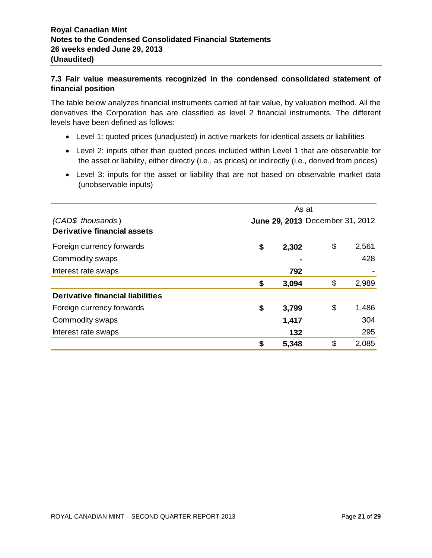# **7.3 Fair value measurements recognized in the condensed consolidated statement of financial position**

The table below analyzes financial instruments carried at fair value, by valuation method. All the derivatives the Corporation has are classified as level 2 financial instruments. The different levels have been defined as follows:

- Level 1: quoted prices (unadjusted) in active markets for identical assets or liabilities
- Level 2: inputs other than quoted prices included within Level 1 that are observable for the asset or liability, either directly (i.e., as prices) or indirectly (i.e., derived from prices)
- Level 3: inputs for the asset or liability that are not based on observable market data (unobservable inputs)

|                                  | As at                           |             |
|----------------------------------|---------------------------------|-------------|
| (CAD\$ thousands)                | June 29, 2013 December 31, 2012 |             |
| Derivative financial assets      |                                 |             |
| Foreign currency forwards        | \$<br>2,302                     | \$<br>2,561 |
| Commodity swaps                  |                                 | 428         |
| Interest rate swaps              | 792                             |             |
|                                  | \$<br>3,094                     | \$<br>2,989 |
| Derivative financial liabilities |                                 |             |
| Foreign currency forwards        | \$<br>3,799                     | \$<br>1,486 |
| Commodity swaps                  | 1,417                           | 304         |
| Interest rate swaps              | 132                             | 295         |
|                                  | \$<br>5,348                     | \$<br>2,085 |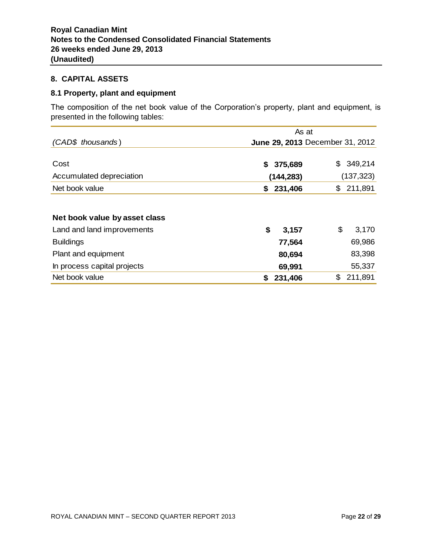# **8. CAPITAL ASSETS**

#### **8.1 Property, plant and equipment**

The composition of the net book value of the Corporation's property, plant and equipment, is presented in the following tables:

|                               | As at                           |               |
|-------------------------------|---------------------------------|---------------|
| (CAD\$ thousands)             | June 29, 2013 December 31, 2012 |               |
|                               |                                 |               |
| Cost                          | 375,689<br>S.                   | 349,214<br>\$ |
| Accumulated depreciation      | (144, 283)                      | (137, 323)    |
| Net book value                | 231,406<br>S.                   | \$211,891     |
|                               |                                 |               |
| Net book value by asset class |                                 |               |
| Land and land improvements    | \$<br>3,157                     | \$<br>3,170   |
| <b>Buildings</b>              | 77,564                          | 69,986        |
| Plant and equipment           | 80,694                          | 83,398        |
| In process capital projects   | 69,991                          | 55,337        |
| Net book value                | 231,406                         | \$<br>211,891 |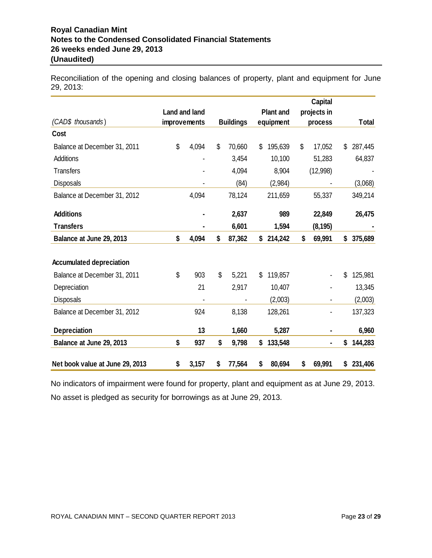# **Royal Canadian Mint Notes to the Condensed Consolidated Financial Statements 26 weeks ended June 29, 2013 (Unaudited)**

Reconciliation of the opening and closing balances of property, plant and equipment for June 29, 2013:

|                                 |                      |                  |                  | <b>Capital</b> |               |
|---------------------------------|----------------------|------------------|------------------|----------------|---------------|
|                                 | <b>Land and land</b> |                  | <b>Plant and</b> | projects in    |               |
| (CAD\$ thousands)               | improvements         | <b>Buildings</b> | equipment        | process        | <b>Total</b>  |
| Cost                            |                      |                  |                  |                |               |
| Balance at December 31, 2011    | \$<br>4,094          | \$<br>70,660     | \$<br>195,639    | \$<br>17,052   | \$<br>287,445 |
| Additions                       |                      | 3,454            | 10,100           | 51,283         | 64,837        |
| <b>Transfers</b>                |                      | 4,094            | 8,904            | (12,998)       |               |
| <b>Disposals</b>                |                      | (84)             | (2,984)          |                | (3,068)       |
| Balance at December 31, 2012    | 4,094                | 78,124           | 211,659          | 55,337         | 349,214       |
| <b>Additions</b>                |                      | 2,637            | 989              | 22,849         | 26,475        |
| <b>Transfers</b>                |                      | 6,601            | 1,594            | (8, 195)       |               |
| Balance at June 29, 2013        | \$<br>4,094          | \$<br>87,362     | \$<br>214,242    | \$<br>69,991   | \$<br>375,689 |
|                                 |                      |                  |                  |                |               |
| <b>Accumulated depreciation</b> |                      |                  |                  |                |               |
| Balance at December 31, 2011    | \$<br>903            | \$<br>5,221      | \$<br>119,857    |                | \$<br>125,981 |
| Depreciation                    | 21                   | 2,917            | 10,407           |                | 13,345        |
| <b>Disposals</b>                |                      |                  | (2,003)          |                | (2,003)       |
| Balance at December 31, 2012    | 924                  | 8,138            | 128,261          |                | 137,323       |
| <b>Depreciation</b>             | 13                   | 1,660            | 5,287            | ٠              | 6,960         |
| Balance at June 29, 2013        | \$<br>937            | \$<br>9,798      | \$<br>133,548    | $\blacksquare$ | \$<br>144,283 |
| Net book value at June 29, 2013 | \$<br>3,157          | \$<br>77,564     | \$<br>80,694     | \$<br>69,991   | \$<br>231,406 |

No indicators of impairment were found for property, plant and equipment as at June 29, 2013. No asset is pledged as security for borrowings as at June 29, 2013.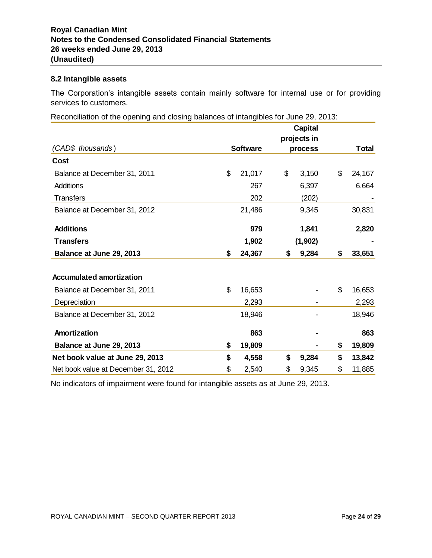#### **8.2 Intangible assets**

The Corporation's intangible assets contain mainly software for internal use or for providing services to customers.

Reconciliation of the opening and closing balances of intangibles for June 29, 2013:

|                                     |                 | <b>Capital</b> |              |
|-------------------------------------|-----------------|----------------|--------------|
| (CAD\$ thousands)                   |                 | projects in    |              |
|                                     | <b>Software</b> | process        | <b>Total</b> |
| Cost                                |                 |                |              |
| Balance at December 31, 2011        | \$<br>21,017    | \$<br>3,150    | \$<br>24,167 |
| Additions                           | 267             | 6,397          | 6,664        |
| <b>Transfers</b>                    | 202             | (202)          |              |
| Balance at December 31, 2012        | 21,486          | 9,345          | 30,831       |
| <b>Additions</b>                    | 979             | 1,841          | 2,820        |
| <b>Transfers</b>                    | 1,902           | (1,902)        |              |
| Balance at June 29, 2013            | \$<br>24,367    | \$<br>9,284    | \$<br>33,651 |
|                                     |                 |                |              |
| <b>Accumulated amortization</b>     |                 |                |              |
| Balance at December 31, 2011        | \$<br>16,653    |                | \$<br>16,653 |
| Depreciation                        | 2,293           |                | 2,293        |
| Balance at December 31, 2012        | 18,946          |                | 18,946       |
| Amortization                        | 863             |                | 863          |
| Balance at June 29, 2013            | \$<br>19,809    |                | \$<br>19,809 |
| Net book value at June 29, 2013     | \$<br>4,558     | \$<br>9,284    | \$<br>13,842 |
| Net book value at December 31, 2012 | \$<br>2,540     | \$<br>9,345    | \$<br>11,885 |

No indicators of impairment were found for intangible assets as at June 29, 2013.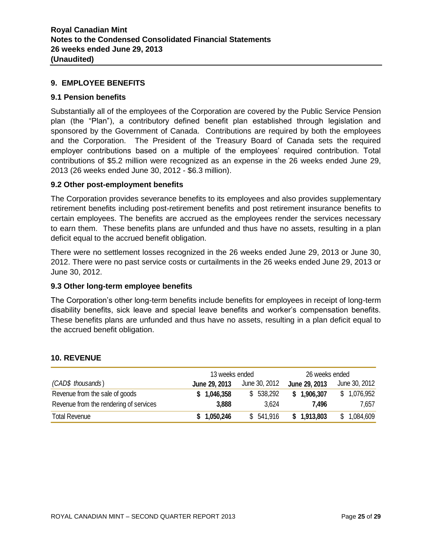#### **9. EMPLOYEE BENEFITS**

#### **9.1 Pension benefits**

Substantially all of the employees of the Corporation are covered by the Public Service Pension plan (the "Plan"), a contributory defined benefit plan established through legislation and sponsored by the Government of Canada. Contributions are required by both the employees and the Corporation. The President of the Treasury Board of Canada sets the required employer contributions based on a multiple of the employees' required contribution. Total contributions of \$5.2 million were recognized as an expense in the 26 weeks ended June 29, 2013 (26 weeks ended June 30, 2012 - \$6.3 million).

#### **9.2 Other post-employment benefits**

The Corporation provides severance benefits to its employees and also provides supplementary retirement benefits including post-retirement benefits and post retirement insurance benefits to certain employees. The benefits are accrued as the employees render the services necessary to earn them. These benefits plans are unfunded and thus have no assets, resulting in a plan deficit equal to the accrued benefit obligation.

There were no settlement losses recognized in the 26 weeks ended June 29, 2013 or June 30, 2012. There were no past service costs or curtailments in the 26 weeks ended June 29, 2013 or June 30, 2012.

#### **9.3 Other long-term employee benefits**

The Corporation's other long-term benefits include benefits for employees in receipt of long-term disability benefits, sick leave and special leave benefits and worker's compensation benefits. These benefits plans are unfunded and thus have no assets, resulting in a plan deficit equal to the accrued benefit obligation.

#### **10. REVENUE**

|                                        | 13 weeks ended |               |               | 26 weeks ended |
|----------------------------------------|----------------|---------------|---------------|----------------|
| (CAD\$ thousands)                      | June 29, 2013  | June 30, 2012 | June 29, 2013 | June 30, 2012  |
| Revenue from the sale of goods         | \$1,046,358    | \$538,292     | \$1,906,307   | \$1,076,952    |
| Revenue from the rendering of services | 3,888          | 3.624         | 7.496         | 7.657          |
| <b>Total Revenue</b>                   | \$1,050,246    | \$541,916     | \$1,913,803   | 1,084,609      |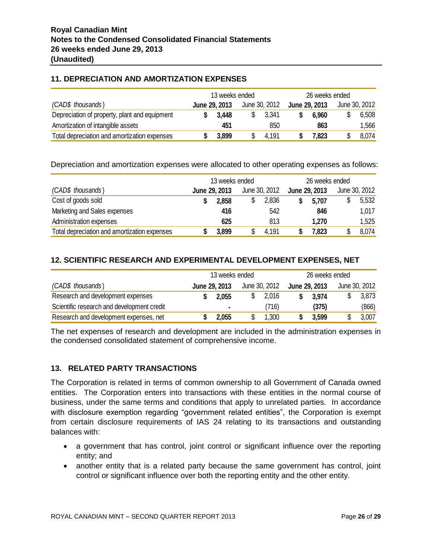# **11. DEPRECIATION AND AMORTIZATION EXPENSES**

|                                               | 13 weeks ended |               |  | 26 weeks ended |  |               |  |               |
|-----------------------------------------------|----------------|---------------|--|----------------|--|---------------|--|---------------|
| (CAD\$ thousands)                             |                | June 29, 2013 |  | June 30, 2012  |  | June 29, 2013 |  | June 30, 2012 |
| Depreciation of property, plant and equipment |                | 3.448         |  | 3,341          |  | 6.960         |  | 6,508         |
| Amortization of intangible assets             |                | 451           |  | 850            |  | 863           |  | 1,566         |
| Total depreciation and amortization expenses  |                | 3,899         |  | 4.191          |  | 7,823         |  | 8,074         |

Depreciation and amortization expenses were allocated to other operating expenses as follows:

|                                              | 13 weeks ended |               |  | 26 weeks ended |  |               |  |               |
|----------------------------------------------|----------------|---------------|--|----------------|--|---------------|--|---------------|
| (CAD\$ thousands)                            |                | June 29, 2013 |  | June 30, 2012  |  | June 29, 2013 |  | June 30, 2012 |
| Cost of goods sold                           |                | 2,858         |  | 2,836          |  | 5,707         |  | 5,532         |
| Marketing and Sales expenses                 |                | 416           |  | 542            |  | 846           |  | 1,017         |
| Administration expenses                      |                | 625           |  | 813            |  | 1,270         |  | 1,525         |
| Total depreciation and amortization expenses |                | 3,899         |  | 4,191          |  | 7,823         |  | 8,074         |

# **12. SCIENTIFIC RESEARCH AND EXPERIMENTAL DEVELOPMENT EXPENSES, NET**

|                                            | 13 weeks ended |                |  | 26 weeks ended |  |               |  |               |
|--------------------------------------------|----------------|----------------|--|----------------|--|---------------|--|---------------|
| (CAD\$ thousands)                          |                | June 29, 2013  |  | June 30, 2012  |  | June 29, 2013 |  | June 30, 2012 |
| Research and development expenses          |                | 2.055          |  | 2,016          |  | 3.974         |  | 3,873         |
| Scientific research and development credit |                | $\blacksquare$ |  | (716)          |  | (375)         |  | (866)         |
| Research and development expenses, net     |                | 2,055          |  | 1,300          |  | 3,599         |  | 3,007         |

The net expenses of research and development are included in the administration expenses in the condensed consolidated statement of comprehensive income.

# **13. RELATED PARTY TRANSACTIONS**

The Corporation is related in terms of common ownership to all Government of Canada owned entities. The Corporation enters into transactions with these entities in the normal course of business, under the same terms and conditions that apply to unrelated parties. In accordance with disclosure exemption regarding "government related entities", the Corporation is exempt from certain disclosure requirements of IAS 24 relating to its transactions and outstanding balances with:

- a government that has control, joint control or significant influence over the reporting entity; and
- another entity that is a related party because the same government has control, joint control or significant influence over both the reporting entity and the other entity.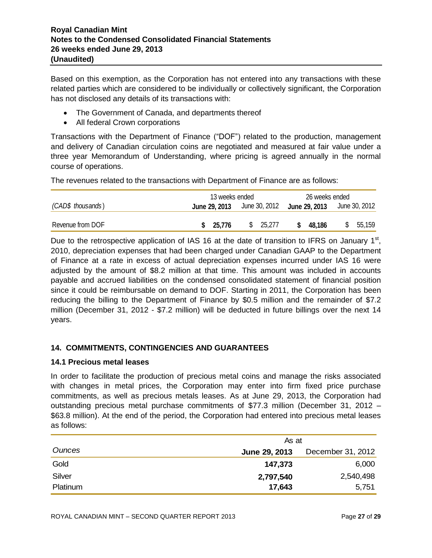Based on this exemption, as the Corporation has not entered into any transactions with these related parties which are considered to be individually or collectively significant, the Corporation has not disclosed any details of its transactions with:

- The Government of Canada, and departments thereof
- All federal Crown corporations

Transactions with the Department of Finance ("DOF") related to the production, management and delivery of Canadian circulation coins are negotiated and measured at fair value under a three year Memorandum of Understanding, where pricing is agreed annually in the normal course of operations.

The revenues related to the transactions with Department of Finance are as follows:

|                   | 13 weeks ended<br>26 weeks ended                                      |          |              |         |  |
|-------------------|-----------------------------------------------------------------------|----------|--------------|---------|--|
| (CAD\$ thousands) | <b>June 29, 2013</b> June 30, 2012 <b>June 29, 2013</b> June 30, 2012 |          |              |         |  |
| Revenue from DOF  | \$25,776                                                              | \$25,277 | 48.186<br>S. | \$5,159 |  |

Due to the retrospective application of IAS 16 at the date of transition to IFRS on January  $1<sup>st</sup>$ , 2010, depreciation expenses that had been charged under Canadian GAAP to the Department of Finance at a rate in excess of actual depreciation expenses incurred under IAS 16 were adjusted by the amount of \$8.2 million at that time. This amount was included in accounts payable and accrued liabilities on the condensed consolidated statement of financial position since it could be reimbursable on demand to DOF. Starting in 2011, the Corporation has been reducing the billing to the Department of Finance by \$0.5 million and the remainder of \$7.2 million (December 31, 2012 - \$7.2 million) will be deducted in future billings over the next 14 years.

# **14. COMMITMENTS, CONTINGENCIES AND GUARANTEES**

# **14.1 Precious metal leases**

In order to facilitate the production of precious metal coins and manage the risks associated with changes in metal prices, the Corporation may enter into firm fixed price purchase commitments, as well as precious metals leases. As at June 29, 2013, the Corporation had outstanding precious metal purchase commitments of \$77.3 million (December 31, 2012 – \$63.8 million). At the end of the period, the Corporation had entered into precious metal leases as follows:

|          | As at         |                   |  |  |  |
|----------|---------------|-------------------|--|--|--|
| Ounces   | June 29, 2013 | December 31, 2012 |  |  |  |
| Gold     | 147,373       | 6,000             |  |  |  |
| Silver   | 2,797,540     | 2,540,498         |  |  |  |
| Platinum | 17,643        | 5,751             |  |  |  |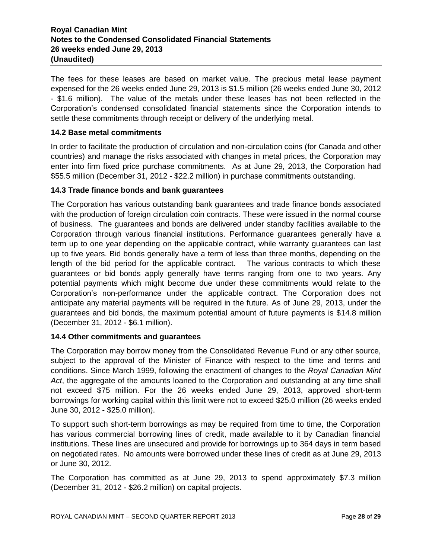# **Royal Canadian Mint Notes to the Condensed Consolidated Financial Statements 26 weeks ended June 29, 2013 (Unaudited)**

The fees for these leases are based on market value. The precious metal lease payment expensed for the 26 weeks ended June 29, 2013 is \$1.5 million (26 weeks ended June 30, 2012 - \$1.6 million). The value of the metals under these leases has not been reflected in the Corporation's condensed consolidated financial statements since the Corporation intends to settle these commitments through receipt or delivery of the underlying metal.

# **14.2 Base metal commitments**

In order to facilitate the production of circulation and non-circulation coins (for Canada and other countries) and manage the risks associated with changes in metal prices, the Corporation may enter into firm fixed price purchase commitments. As at June 29, 2013, the Corporation had \$55.5 million (December 31, 2012 - \$22.2 million) in purchase commitments outstanding.

#### **14.3 Trade finance bonds and bank guarantees**

The Corporation has various outstanding bank guarantees and trade finance bonds associated with the production of foreign circulation coin contracts. These were issued in the normal course of business. The guarantees and bonds are delivered under standby facilities available to the Corporation through various financial institutions. Performance guarantees generally have a term up to one year depending on the applicable contract, while warranty guarantees can last up to five years. Bid bonds generally have a term of less than three months, depending on the length of the bid period for the applicable contract. The various contracts to which these guarantees or bid bonds apply generally have terms ranging from one to two years. Any potential payments which might become due under these commitments would relate to the Corporation's non-performance under the applicable contract. The Corporation does not anticipate any material payments will be required in the future. As of June 29, 2013, under the guarantees and bid bonds, the maximum potential amount of future payments is \$14.8 million (December 31, 2012 - \$6.1 million).

#### **14.4 Other commitments and guarantees**

The Corporation may borrow money from the Consolidated Revenue Fund or any other source, subject to the approval of the Minister of Finance with respect to the time and terms and conditions. Since March 1999, following the enactment of changes to the *Royal Canadian Mint Act*, the aggregate of the amounts loaned to the Corporation and outstanding at any time shall not exceed \$75 million. For the 26 weeks ended June 29, 2013, approved short-term borrowings for working capital within this limit were not to exceed \$25.0 million (26 weeks ended June 30, 2012 - \$25.0 million).

To support such short-term borrowings as may be required from time to time, the Corporation has various commercial borrowing lines of credit, made available to it by Canadian financial institutions. These lines are unsecured and provide for borrowings up to 364 days in term based on negotiated rates. No amounts were borrowed under these lines of credit as at June 29, 2013 or June 30, 2012.

The Corporation has committed as at June 29, 2013 to spend approximately \$7.3 million (December 31, 2012 - \$26.2 million) on capital projects.